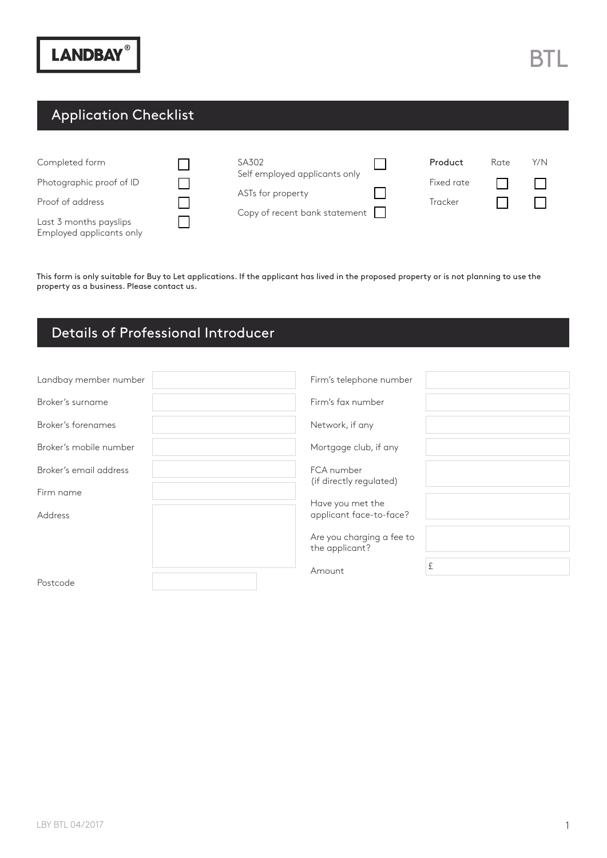### Application Checklist

| Completed form<br>Photographic proof of ID<br>Proof of address<br>Last 3 months payslips<br>Employed applicants only | SA302<br>Self employed applicants only<br>ASTs for property<br>Copy of recent bank statement $\Box$ | Product<br>Fixed rate<br>Tracker | Rate | Y/N |
|----------------------------------------------------------------------------------------------------------------------|-----------------------------------------------------------------------------------------------------|----------------------------------|------|-----|
|                                                                                                                      |                                                                                                     |                                  |      |     |

This form is only suitable for Buy to Let applications. If the applicant has lived in the proposed property or is not planning to use the property as a business. Please contact us.

#### Details of Professional Introducer

| Landbay member number  | Firm's telephone number                     |
|------------------------|---------------------------------------------|
| Broker's surname       | Firm's fax number                           |
| Broker's forenames     | Network, if any                             |
| Broker's mobile number | Mortgage club, if any                       |
| Broker's email address | FCA number<br>(if directly regulated)       |
| Firm name              |                                             |
| Address                | Have you met the<br>applicant face-to-face? |
|                        | Are you charging a fee to<br>the applicant? |
|                        | £<br>Amount                                 |
| Postcode               |                                             |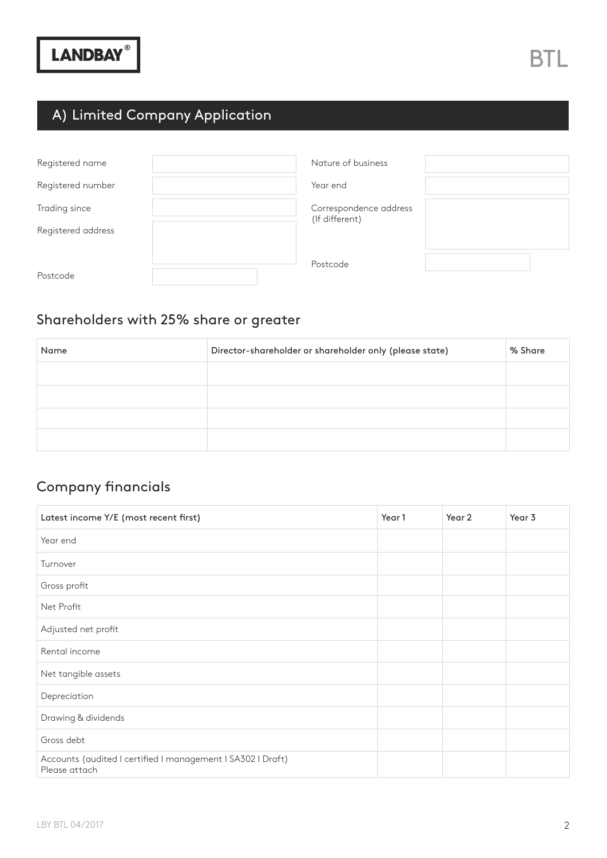## A) Limited Company Application

| Registered name    | Nature of business     |
|--------------------|------------------------|
| Registered number  | Year end               |
| Trading since      | Correspondence address |
| Registered address | (If different)         |
|                    | Postcode               |
| Postcode           |                        |

#### Shareholders with 25% share or greater

| Name | Director-shareholder or shareholder only (please state) | % Share |
|------|---------------------------------------------------------|---------|
|      |                                                         |         |
|      |                                                         |         |
|      |                                                         |         |
|      |                                                         |         |

#### Company financials

| Latest income Y/E (most recent first)                                        | Year 1 | Year 2 | Year 3 |
|------------------------------------------------------------------------------|--------|--------|--------|
| Year end                                                                     |        |        |        |
| Turnover                                                                     |        |        |        |
| Gross profit                                                                 |        |        |        |
| Net Profit                                                                   |        |        |        |
| Adjusted net profit                                                          |        |        |        |
| Rental income                                                                |        |        |        |
| Net tangible assets                                                          |        |        |        |
| Depreciation                                                                 |        |        |        |
| Drawing & dividends                                                          |        |        |        |
| Gross debt                                                                   |        |        |        |
| Accounts (audited I certified I management I SA302 I Draft)<br>Please attach |        |        |        |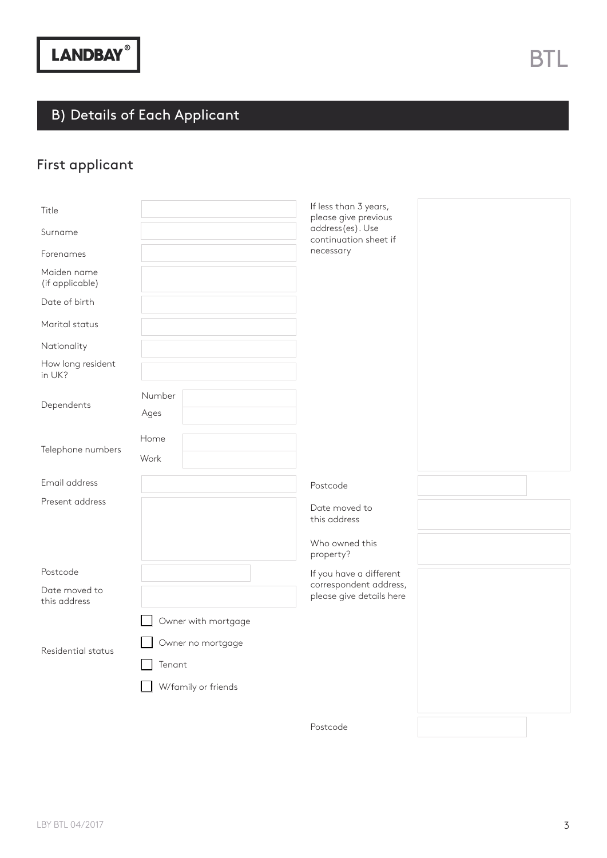# B) Details of Each Applicant

## First applicant

| Title<br>Surname<br>Forenames<br>Maiden name<br>(if applicable)<br>Date of birth<br>Marital status<br>Nationality<br>How long resident<br>in UK?<br>Dependents<br>Telephone numbers | Number<br>Ages<br>Home<br>Work | If less than 3 years,<br>please give previous<br>address(es). Use<br>continuation sheet if<br>necessary |  |
|-------------------------------------------------------------------------------------------------------------------------------------------------------------------------------------|--------------------------------|---------------------------------------------------------------------------------------------------------|--|
| Email address                                                                                                                                                                       |                                | Postcode                                                                                                |  |
| Present address                                                                                                                                                                     |                                | Date moved to<br>this address<br>Who owned this<br>property?                                            |  |
| Postcode                                                                                                                                                                            |                                | If you have a different                                                                                 |  |
| Date moved to<br>this address                                                                                                                                                       |                                | correspondent address,<br>please give details here                                                      |  |
|                                                                                                                                                                                     | Owner with mortgage            |                                                                                                         |  |
| Residential status                                                                                                                                                                  | Owner no mortgage<br>Tenant    |                                                                                                         |  |
|                                                                                                                                                                                     | W/family or friends            |                                                                                                         |  |
|                                                                                                                                                                                     |                                | Postcode                                                                                                |  |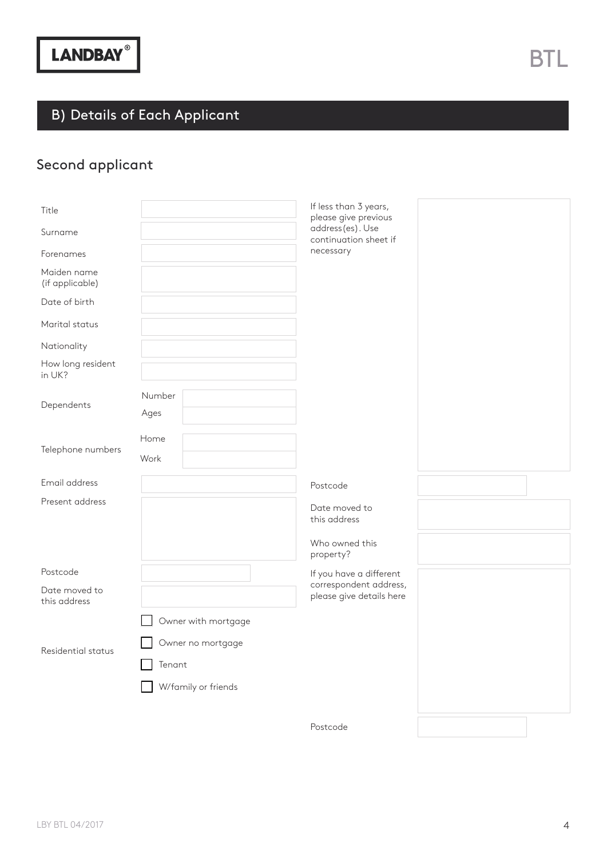# B) Details of Each Applicant

## Second applicant

| Title<br>Surname<br>Forenames<br>Maiden name<br>(if applicable)<br>Date of birth<br>Marital status<br>Nationality<br>How long resident<br>in UK?<br>Dependents<br>Telephone numbers | Number<br>Ages<br>Home<br>Work                     | If less than 3 years,<br>please give previous<br>address(es). Use<br>continuation sheet if<br>necessary |  |
|-------------------------------------------------------------------------------------------------------------------------------------------------------------------------------------|----------------------------------------------------|---------------------------------------------------------------------------------------------------------|--|
| Email address                                                                                                                                                                       |                                                    | Postcode                                                                                                |  |
| Present address                                                                                                                                                                     |                                                    | Date moved to<br>this address<br>Who owned this<br>property?                                            |  |
| Postcode                                                                                                                                                                            |                                                    | If you have a different                                                                                 |  |
| Date moved to<br>this address                                                                                                                                                       |                                                    | correspondent address,<br>please give details here                                                      |  |
|                                                                                                                                                                                     | Owner with mortgage                                |                                                                                                         |  |
| Residential status                                                                                                                                                                  | Owner no mortgage<br>Tenant<br>W/family or friends |                                                                                                         |  |
|                                                                                                                                                                                     |                                                    |                                                                                                         |  |
|                                                                                                                                                                                     |                                                    | Postcode                                                                                                |  |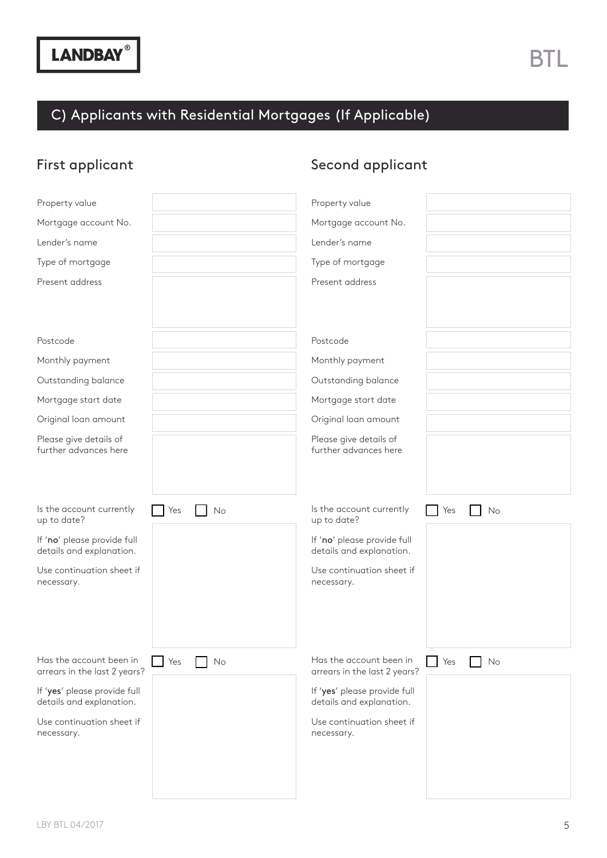## C) Applicants with Residential Mortgages (If Applicable)

### First applicant

### Second applicant

| Property value                                                       | Property value                                                       |
|----------------------------------------------------------------------|----------------------------------------------------------------------|
| Mortgage account No.                                                 | Mortgage account No.                                                 |
| Lender's name                                                        | Lender's name                                                        |
| Type of mortgage                                                     | Type of mortgage                                                     |
| Present address                                                      | Present address                                                      |
|                                                                      |                                                                      |
|                                                                      |                                                                      |
| Postcode                                                             | Postcode                                                             |
| Monthly payment                                                      | Monthly payment                                                      |
| Outstanding balance                                                  | Outstanding balance                                                  |
| Mortgage start date                                                  | Mortgage start date                                                  |
| Original loan amount                                                 | Original loan amount                                                 |
| Please give details of<br>further advances here                      | Please give details of<br>further advances here                      |
|                                                                      |                                                                      |
|                                                                      |                                                                      |
|                                                                      |                                                                      |
|                                                                      |                                                                      |
| Is the account currently<br>Yes<br>No<br>up to date?                 | Is the account currently<br>Yes<br>No<br>up to date?                 |
| If 'no' please provide full                                          | If 'no' please provide full                                          |
| details and explanation.                                             | details and explanation.                                             |
| Use continuation sheet if<br>necessary.                              | Use continuation sheet if<br>necessary.                              |
|                                                                      |                                                                      |
|                                                                      |                                                                      |
|                                                                      |                                                                      |
| Has the account been in<br>Yes<br>No<br>arrears in the last 2 years? | Has the account been in<br>Yes<br>No<br>arrears in the last 2 years? |
| If 'yes' please provide full<br>details and explanation.             | If 'yes' please provide full<br>details and explanation.             |
| Use continuation sheet if                                            | Use continuation sheet if                                            |
| necessary.                                                           | necessary.                                                           |
|                                                                      |                                                                      |
|                                                                      |                                                                      |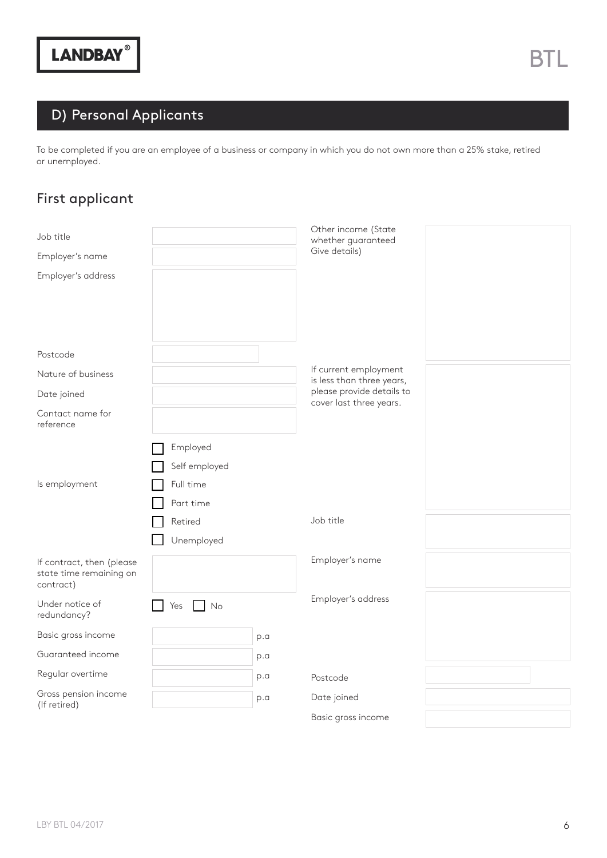### D) Personal Applicants

To be completed if you are an employee of a business or company in which you do not own more than a 25% stake, retired or unemployed.

### First applicant

| Job title                                                         |                                                     |     | Other income (State<br>whether guaranteed          |  |
|-------------------------------------------------------------------|-----------------------------------------------------|-----|----------------------------------------------------|--|
| Employer's name                                                   |                                                     |     | Give details)                                      |  |
| Employer's address                                                |                                                     |     |                                                    |  |
| Postcode                                                          |                                                     |     |                                                    |  |
| Nature of business                                                |                                                     |     | If current employment<br>is less than three years, |  |
| Date joined                                                       |                                                     |     | please provide details to                          |  |
| Contact name for<br>reference                                     |                                                     |     | cover last three years.                            |  |
| Is employment                                                     | Employed<br>Self employed<br>Full time<br>Part time |     |                                                    |  |
|                                                                   | Retired<br>Unemployed                               |     | Job title                                          |  |
| If contract, then (please<br>state time remaining on<br>contract) |                                                     |     | Employer's name                                    |  |
| Under notice of<br>redundancy?                                    | Yes<br>No                                           |     | Employer's address                                 |  |
| Basic gross income                                                |                                                     | p.a |                                                    |  |
| Guaranteed income                                                 |                                                     | p.a |                                                    |  |
| Regular overtime                                                  |                                                     | p.a | Postcode                                           |  |
| Gross pension income<br>(If retired)                              |                                                     | p.a | Date joined                                        |  |
|                                                                   |                                                     |     | Basic gross income                                 |  |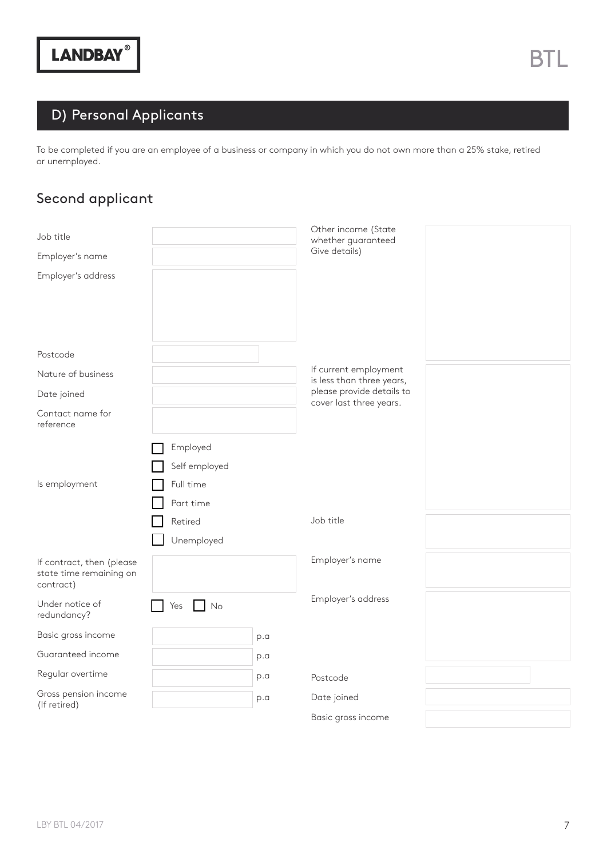### D) Personal Applicants

To be completed if you are an employee of a business or company in which you do not own more than a 25% stake, retired or unemployed.

### Second applicant

| Job title                                                         |                                                     |     | Other income (State<br>whether guaranteed          |  |
|-------------------------------------------------------------------|-----------------------------------------------------|-----|----------------------------------------------------|--|
| Employer's name                                                   |                                                     |     | Give details)                                      |  |
| Employer's address                                                |                                                     |     |                                                    |  |
| Postcode                                                          |                                                     |     |                                                    |  |
| Nature of business                                                |                                                     |     | If current employment<br>is less than three years, |  |
| Date joined                                                       |                                                     |     | please provide details to                          |  |
| Contact name for<br>reference                                     |                                                     |     | cover last three years.                            |  |
| Is employment                                                     | Employed<br>Self employed<br>Full time<br>Part time |     |                                                    |  |
|                                                                   | Retired<br>Unemployed                               |     | Job title                                          |  |
| If contract, then (please<br>state time remaining on<br>contract) |                                                     |     | Employer's name                                    |  |
| Under notice of<br>redundancy?                                    | Yes<br>No                                           |     | Employer's address                                 |  |
| Basic gross income                                                |                                                     | p.a |                                                    |  |
| Guaranteed income                                                 |                                                     | p.a |                                                    |  |
| Regular overtime                                                  |                                                     | p.a | Postcode                                           |  |
| Gross pension income<br>(If retired)                              |                                                     | p.a | Date joined                                        |  |
|                                                                   |                                                     |     | Basic gross income                                 |  |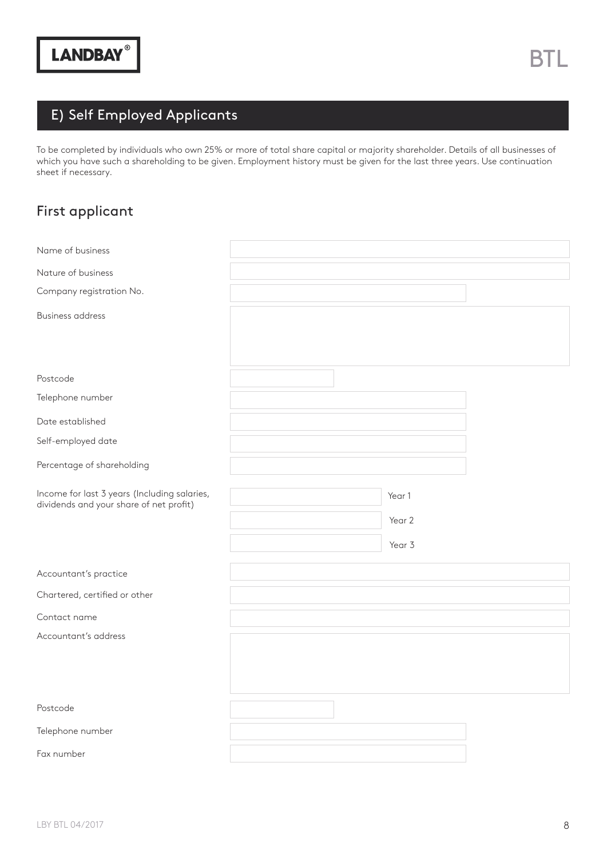## E) Self Employed Applicants

To be completed by individuals who own 25% or more of total share capital or majority shareholder. Details of all businesses of which you have such a shareholding to be given. Employment history must be given for the last three years. Use continuation sheet if necessary.

#### First applicant

| Name of business                                                                        |        |  |
|-----------------------------------------------------------------------------------------|--------|--|
| Nature of business                                                                      |        |  |
| Company registration No.                                                                |        |  |
| <b>Business address</b>                                                                 |        |  |
|                                                                                         |        |  |
|                                                                                         |        |  |
| Postcode                                                                                |        |  |
| Telephone number                                                                        |        |  |
| Date established                                                                        |        |  |
| Self-employed date                                                                      |        |  |
| Percentage of shareholding                                                              |        |  |
| Income for last 3 years (Including salaries,<br>dividends and your share of net profit) | Year 1 |  |
|                                                                                         | Year 2 |  |
|                                                                                         | Year 3 |  |
| Accountant's practice                                                                   |        |  |
| Chartered, certified or other                                                           |        |  |
| Contact name                                                                            |        |  |
| Accountant's address                                                                    |        |  |
|                                                                                         |        |  |
|                                                                                         |        |  |
| Postcode                                                                                |        |  |
| Telephone number                                                                        |        |  |
| Fax number                                                                              |        |  |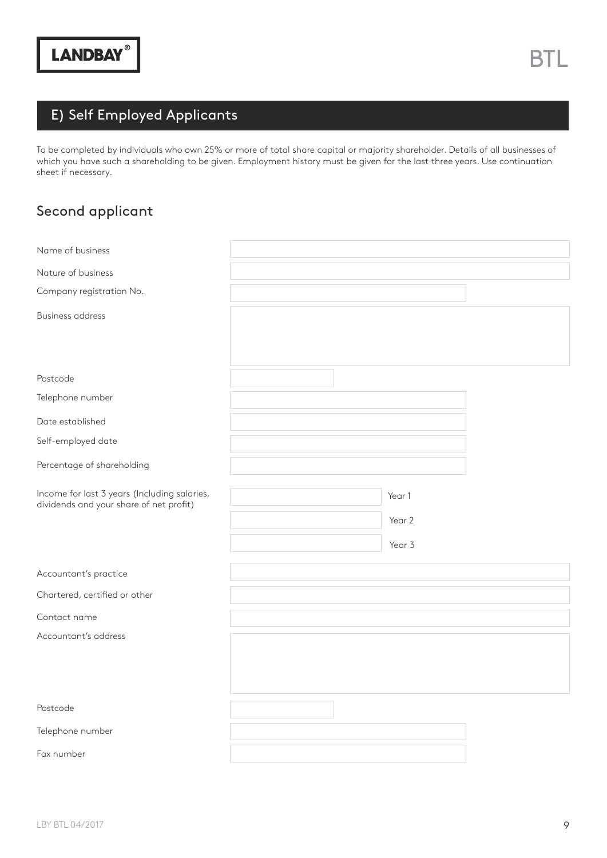## E) Self Employed Applicants

To be completed by individuals who own 25% or more of total share capital or majority shareholder. Details of all businesses of which you have such a shareholding to be given. Employment history must be given for the last three years. Use continuation sheet if necessary.

#### Second applicant

| Name of business                             |        |  |
|----------------------------------------------|--------|--|
| Nature of business                           |        |  |
| Company registration No.                     |        |  |
| <b>Business address</b>                      |        |  |
|                                              |        |  |
|                                              |        |  |
| Postcode                                     |        |  |
| Telephone number                             |        |  |
| Date established                             |        |  |
| Self-employed date                           |        |  |
| Percentage of shareholding                   |        |  |
| Income for last 3 years (Including salaries, | Year 1 |  |
| dividends and your share of net profit)      | Year 2 |  |
|                                              | Year 3 |  |
|                                              |        |  |
| Accountant's practice                        |        |  |
| Chartered, certified or other                |        |  |
| Contact name                                 |        |  |
| Accountant's address                         |        |  |
|                                              |        |  |
|                                              |        |  |
| Postcode                                     |        |  |
| Telephone number                             |        |  |
| Fax number                                   |        |  |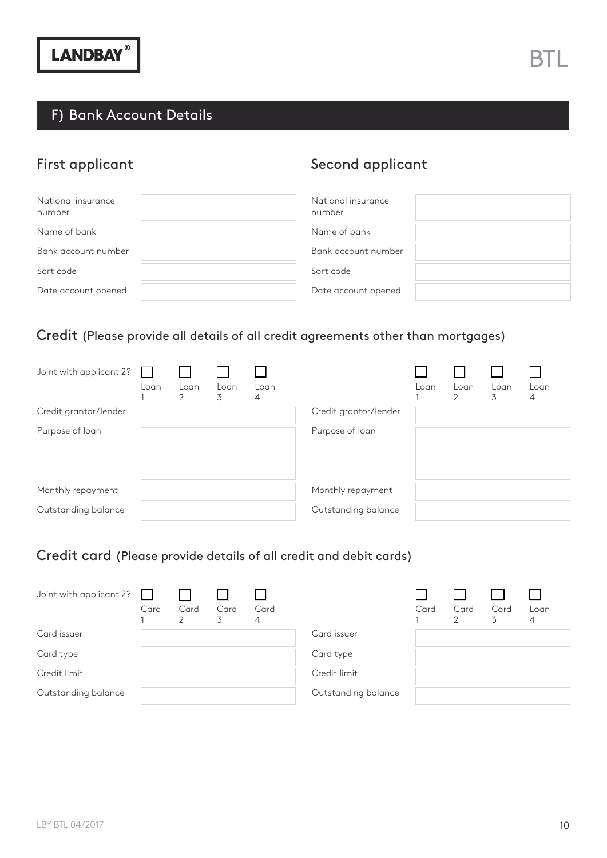#### F) Bank Account Details

## First applicant

| Second applicant |  |
|------------------|--|
|                  |  |

| National insurance<br>number | National insurance<br>number |
|------------------------------|------------------------------|
| Name of bank                 | Name of bank                 |
| Bank account number          | Bank account number          |
| Sort code                    | Sort code                    |
| Date account opened          | Date account opened          |

### Credit (Please provide all details of all credit agreements other than mortgages)

| Joint with applicant 2? | Loan | Loan<br>$\overline{2}$ | Loan<br>3 | Loan<br>4 |                       | Loan | Loan<br>2 | Loan<br>3. | Loan<br>$\overline{4}$ |
|-------------------------|------|------------------------|-----------|-----------|-----------------------|------|-----------|------------|------------------------|
| Credit grantor/lender   |      |                        |           |           | Credit grantor/lender |      |           |            |                        |
| Purpose of loan         |      |                        |           |           | Purpose of loan       |      |           |            |                        |
| Monthly repayment       |      |                        |           |           | Monthly repayment     |      |           |            |                        |
| Outstanding balance     |      |                        |           |           | Outstanding balance   |      |           |            |                        |

#### Credit card (Please provide details of all credit and debit cards)

| Joint with applicant 2? | $\mathbf{I}$<br>Card | Card<br>2 | Card<br>3 | Card<br>4 |                     | Card | Card | Card<br>3 | Loan<br>4 |
|-------------------------|----------------------|-----------|-----------|-----------|---------------------|------|------|-----------|-----------|
| Card issuer             |                      |           |           |           | Card issuer         |      |      |           |           |
| Card type               |                      |           |           |           | Card type           |      |      |           |           |
| Credit limit            |                      |           |           |           | Credit limit        |      |      |           |           |
| Outstanding balance     |                      |           |           |           | Outstanding balance |      |      |           |           |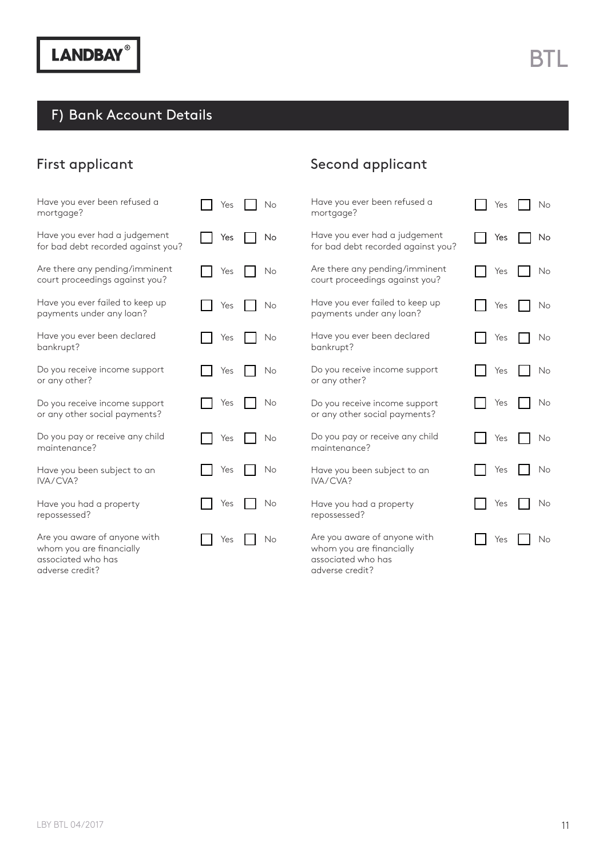## F) Bank Account Details

### First applicant

| Have you ever been refused a                                                                      | Yes       | Have you ever been refused a                                                                      | Yes       |
|---------------------------------------------------------------------------------------------------|-----------|---------------------------------------------------------------------------------------------------|-----------|
| mortgage?                                                                                         | No        | mortgage?                                                                                         | No        |
| Have you ever had a judgement                                                                     | Yes       | Have you ever had a judgement                                                                     | Yes       |
| for bad debt recorded against you?                                                                | No        | for bad debt recorded against you?                                                                | No        |
| Are there any pending/imminent                                                                    | No        | Are there any pending/imminent                                                                    | Yes       |
| court proceedings against you?                                                                    | Yes       | court proceedings against you?                                                                    | No        |
| Have you ever failed to keep up                                                                   | No        | Have you ever failed to keep up                                                                   | Yes       |
| payments under any loan?                                                                          | Yes       | payments under any loan?                                                                          | No        |
| Have you ever been declared                                                                       | Yes       | Have you ever been declared                                                                       | Yes       |
| bankrupt?                                                                                         | No        | bankrupt?                                                                                         | No        |
| Do you receive income support                                                                     | Yes       | Do you receive income support                                                                     | Yes       |
| or any other?                                                                                     | No        | or any other?                                                                                     | No        |
| Do you receive income support                                                                     | Yes       | Do you receive income support                                                                     | Yes       |
| or any other social payments?                                                                     | No        | or any other social payments?                                                                     | No        |
| Do you pay or receive any child                                                                   | Yes       | Do you pay or receive any child                                                                   | Yes       |
| maintenance?                                                                                      | No        | maintenance?                                                                                      | No        |
| Have you been subject to an                                                                       | Yes       | Have you been subject to an                                                                       | Yes       |
| IVA/CVA?                                                                                          | No        | IVA/CVA?                                                                                          | No        |
| Have you had a property                                                                           | Yes       | Have you had a property                                                                           | Yes       |
| repossessed?                                                                                      | No        | repossessed?                                                                                      | No        |
| Are you aware of anyone with<br>whom you are financially<br>associated who has<br>adverse credit? | Yes<br>No | Are you aware of anyone with<br>whom you are financially<br>associated who has<br>adverse credit? | Yes<br>No |

Second applicant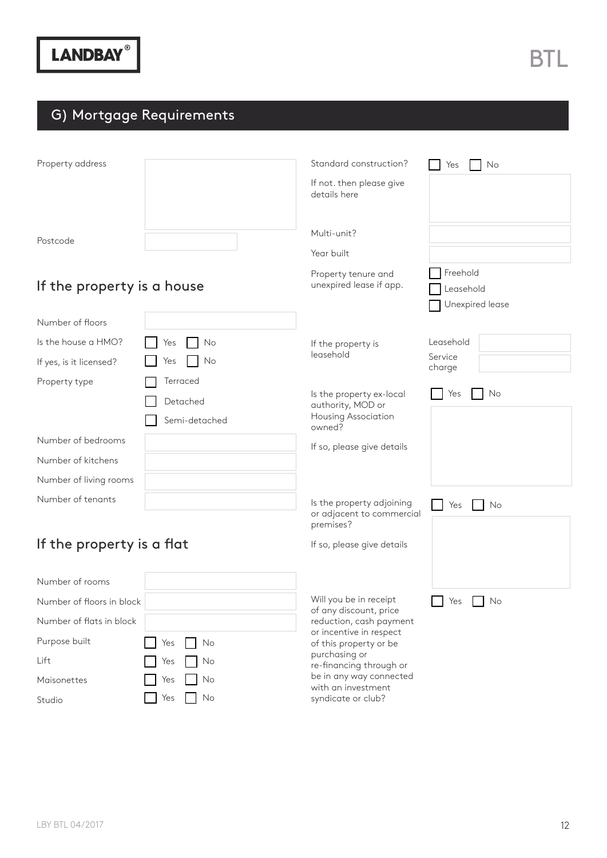### G) Mortgage Requirements

| Property address           |               | Standard construction?                            | No<br>Yes            |
|----------------------------|---------------|---------------------------------------------------|----------------------|
|                            |               | If not. then please give                          |                      |
|                            |               | details here                                      |                      |
|                            |               |                                                   |                      |
| Postcode                   |               | Multi-unit?                                       |                      |
|                            |               | Year built                                        |                      |
|                            |               | Property tenure and<br>unexpired lease if app.    | Freehold             |
| If the property is a house |               |                                                   | Leasehold            |
| Number of floors           |               |                                                   | Unexpired lease      |
|                            |               |                                                   |                      |
| Is the house a HMO?        | Yes<br>No     | If the property is<br>leasehold                   | Leasehold<br>Service |
| If yes, is it licensed?    | No<br>Yes     |                                                   | charge               |
| Property type              | Terraced      | Is the property ex-local                          | Yes<br>No            |
|                            | Detached      | authority, MOD or                                 |                      |
|                            | Semi-detached | Housing Association<br>owned?                     |                      |
| Number of bedrooms         |               | If so, please give details                        |                      |
| Number of kitchens         |               |                                                   |                      |
| Number of living rooms     |               |                                                   |                      |
| Number of tenants          |               | Is the property adjoining                         | Yes<br>No            |
|                            |               | or adjacent to commercial<br>premises?            |                      |
| If the property is a flat  |               | If so, please give details                        |                      |
|                            |               |                                                   |                      |
| Number of rooms            |               |                                                   |                      |
| Number of floors in block  |               | Will you be in receipt                            | Yes<br>No            |
| Number of flats in block   |               | of any discount, price<br>reduction, cash payment |                      |
| Purpose built              | Yes<br>No     | or incentive in respect<br>of this property or be |                      |
|                            |               | purchasing or                                     |                      |

re-fnancing through or be in any way connected with an investment syndicate or club?

Maisonettes Studio

Lift

No Yes No No Yes No No Yes No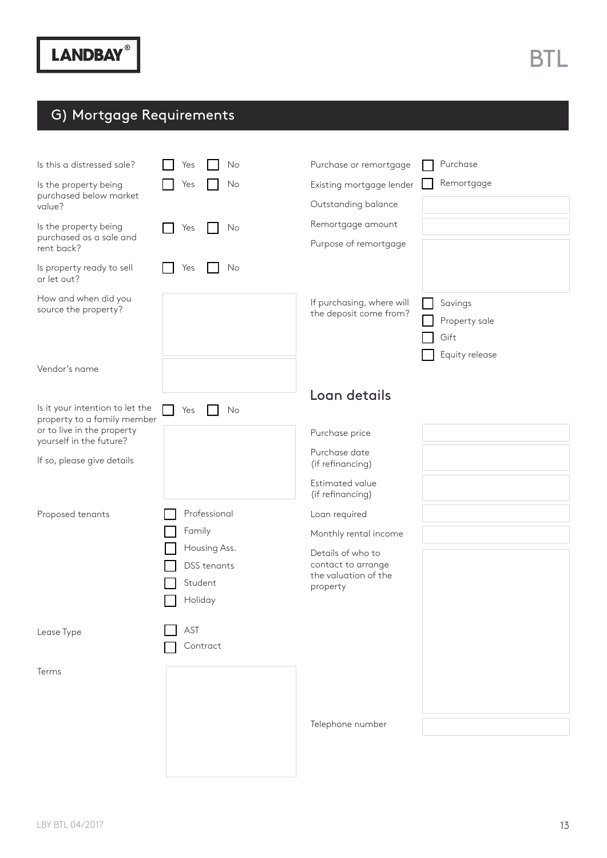## G) Mortgage Requirements

| Is this a distressed sale?<br>Is the property being<br>purchased below market<br>value?<br>Is the property being<br>purchased as a sale and<br>rent back? | No<br>Yes<br>Yes<br>No<br>No<br>Yes                      | Purchase or remortgage<br>Existing mortgage lender<br>Outstanding balance<br>Remortgage amount<br>Purpose of remortgage | Purchase<br>Remortgage                             |
|-----------------------------------------------------------------------------------------------------------------------------------------------------------|----------------------------------------------------------|-------------------------------------------------------------------------------------------------------------------------|----------------------------------------------------|
| Is property ready to sell<br>or let out?                                                                                                                  | No<br>Yes                                                |                                                                                                                         |                                                    |
| How and when did you<br>source the property?                                                                                                              |                                                          | If purchasing, where will<br>the deposit come from?                                                                     | Savings<br>Property sale<br>Gift<br>Equity release |
| Vendor's name                                                                                                                                             |                                                          |                                                                                                                         |                                                    |
| Is it your intention to let the<br>property to a family member                                                                                            | Yes<br>No                                                | Loan details                                                                                                            |                                                    |
| or to live in the property<br>yourself in the future?                                                                                                     |                                                          | Purchase price                                                                                                          |                                                    |
| If so, please give details                                                                                                                                |                                                          | Purchase date<br>(if refinancing)                                                                                       |                                                    |
|                                                                                                                                                           |                                                          | Estimated value<br>(if refinancing)                                                                                     |                                                    |
| Proposed tenants                                                                                                                                          | Professional                                             | Loan required                                                                                                           |                                                    |
|                                                                                                                                                           | Family                                                   | Monthly rental income                                                                                                   |                                                    |
|                                                                                                                                                           | Housing Ass.<br><b>DSS</b> tenants<br>Student<br>Holiday | Details of who to<br>contact to arrange<br>the valuation of the<br>property                                             |                                                    |
| Lease Type                                                                                                                                                | AST<br>Contract                                          |                                                                                                                         |                                                    |
| Terms                                                                                                                                                     |                                                          |                                                                                                                         |                                                    |
|                                                                                                                                                           |                                                          | Telephone number                                                                                                        |                                                    |
|                                                                                                                                                           |                                                          |                                                                                                                         |                                                    |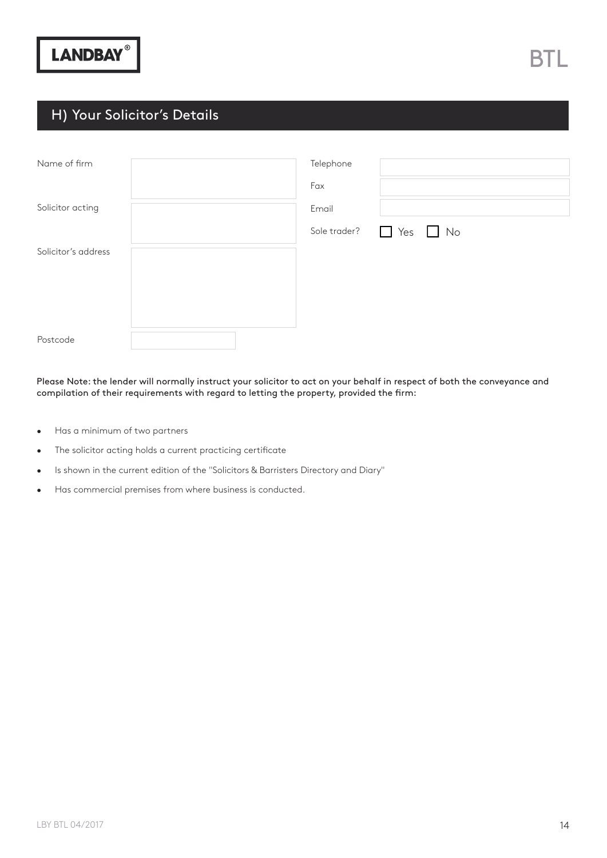#### H) Your Solicitor's Details

| Name of firm        |  | Telephone |                                   |
|---------------------|--|-----------|-----------------------------------|
|                     |  | Fax       |                                   |
| Solicitor acting    |  | Email     |                                   |
|                     |  |           | Sole trader? $\Box$ Yes $\Box$ No |
| Solicitor's address |  |           |                                   |
|                     |  |           |                                   |
|                     |  |           |                                   |
|                     |  |           |                                   |
| Postcode            |  |           |                                   |

Please Note: the lender will normally instruct your solicitor to act on your behalf in respect of both the conveyance and compilation of their requirements with regard to letting the property, provided the frm:

- Has a minimum of two partners
- The solicitor acting holds a current practicing certificate
- Is shown in the current edition of the "Solicitors & Barristers Directory and Diary"
- Has commercial premises from where business is conducted.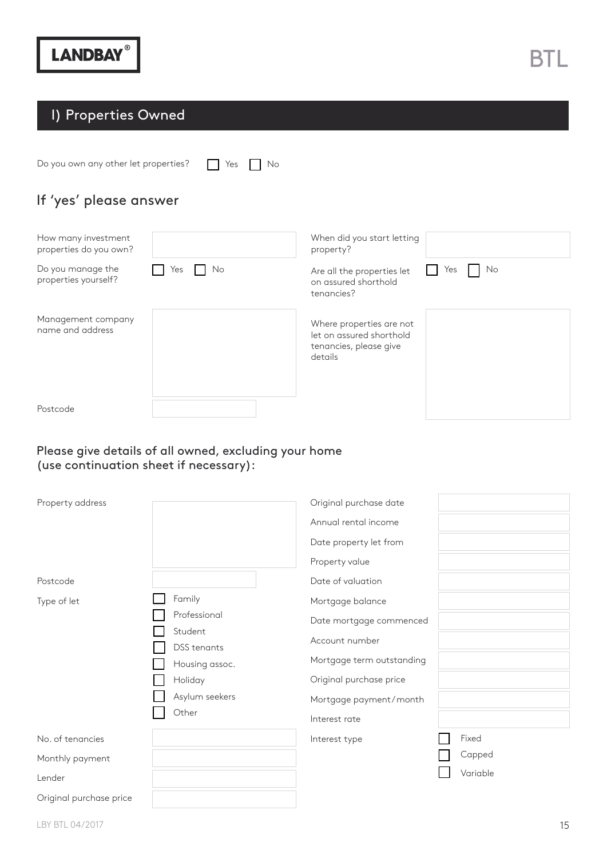Do you own any other let properties?  $\Box$  Yes  $\Box$  No

If 'yes' please answer

| How many investment<br>properties do you own? |           | When did you start letting<br>property?                                                   |           |
|-----------------------------------------------|-----------|-------------------------------------------------------------------------------------------|-----------|
| Do you manage the<br>properties yourself?     | No<br>Yes | Are all the properties let<br>on assured shorthold<br>tenancies?                          | No<br>Yes |
| Management company<br>name and address        |           | Where properties are not<br>let on assured shorthold<br>tenancies, please give<br>details |           |
| Postcode                                      |           |                                                                                           |           |

#### Please give details of all owned, excluding your home (use continuation sheet if necessary):

| Property address        |                        | Original purchase date    |          |
|-------------------------|------------------------|---------------------------|----------|
|                         |                        | Annual rental income      |          |
|                         |                        | Date property let from    |          |
|                         |                        | Property value            |          |
| Postcode                |                        | Date of valuation         |          |
| Type of let             | Family                 | Mortgage balance          |          |
|                         | Professional           | Date mortgage commenced   |          |
|                         | Student<br>DSS tenants | Account number            |          |
|                         | Housing assoc.         | Mortgage term outstanding |          |
|                         | Holiday                | Original purchase price   |          |
|                         | Asylum seekers         | Mortgage payment/month    |          |
|                         | Other                  | Interest rate             |          |
| No. of tenancies        |                        | Interest type             | Fixed    |
| Monthly payment         |                        |                           | Capped   |
| Lender                  |                        |                           | Variable |
| Original purchase price |                        |                           |          |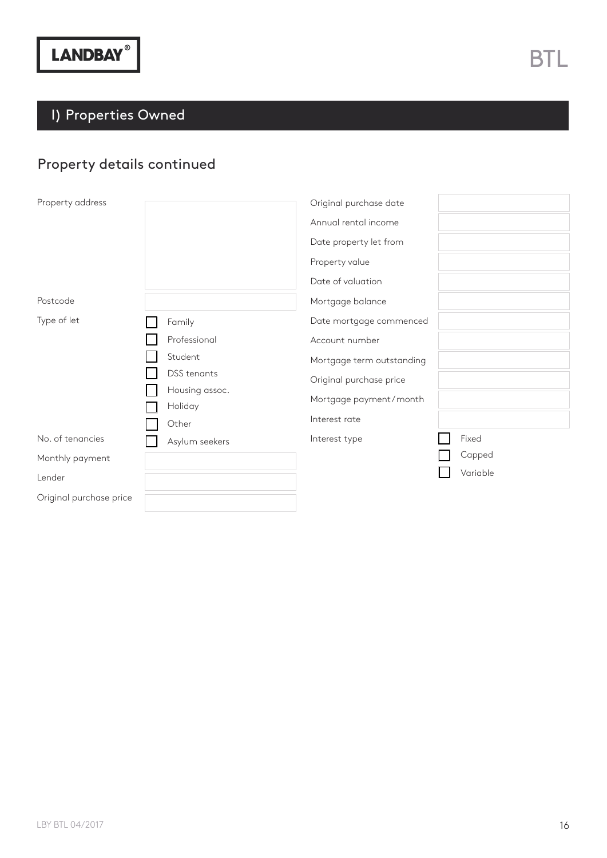### Property details continued

| Property address        |                           | Original purchase date    |          |
|-------------------------|---------------------------|---------------------------|----------|
|                         |                           | Annual rental income      |          |
|                         |                           | Date property let from    |          |
|                         |                           | Property value            |          |
|                         |                           | Date of valuation         |          |
| Postcode                |                           | Mortgage balance          |          |
| Type of let             | Family                    | Date mortgage commenced   |          |
|                         | Professional              | Account number            |          |
|                         | Student                   | Mortgage term outstanding |          |
|                         | DSS tenants               | Original purchase price   |          |
|                         | Housing assoc.<br>Holiday | Mortgage payment/month    |          |
|                         | Other                     | Interest rate             |          |
| No. of tenancies        | Asylum seekers            | Interest type             | Fixed    |
| Monthly payment         |                           |                           | Capped   |
| Lender                  |                           |                           | Variable |
| Original purchase price |                           |                           |          |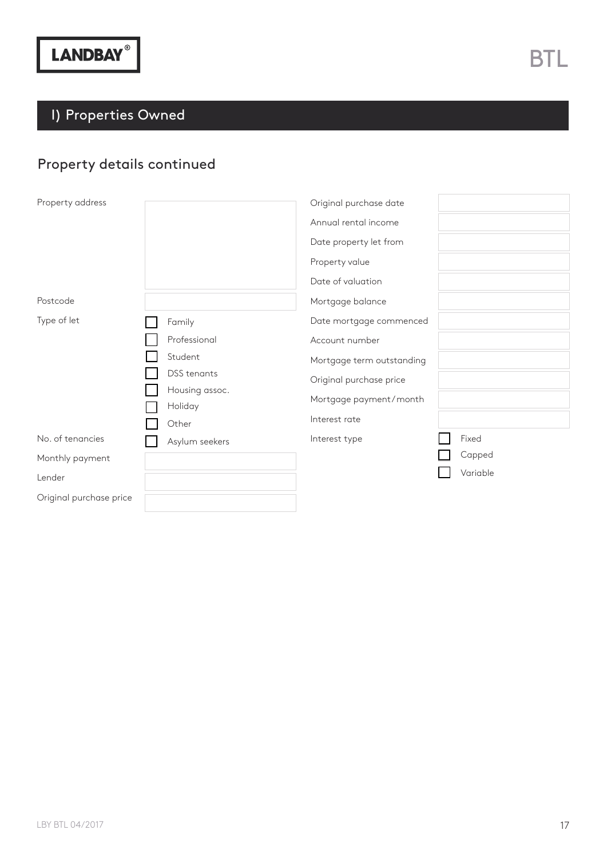### Property details continued

| Property address        |                           | Original purchase date    |          |
|-------------------------|---------------------------|---------------------------|----------|
|                         |                           | Annual rental income      |          |
|                         |                           | Date property let from    |          |
|                         |                           | Property value            |          |
|                         |                           | Date of valuation         |          |
| Postcode                |                           | Mortgage balance          |          |
| Type of let             | Family                    | Date mortgage commenced   |          |
|                         | Professional              | Account number            |          |
|                         | Student                   | Mortgage term outstanding |          |
|                         | DSS tenants               | Original purchase price   |          |
|                         | Housing assoc.<br>Holiday | Mortgage payment/month    |          |
|                         | Other                     | Interest rate             |          |
| No. of tenancies        | Asylum seekers            | Interest type             | Fixed    |
| Monthly payment         |                           |                           | Capped   |
| Lender                  |                           |                           | Variable |
| Original purchase price |                           |                           |          |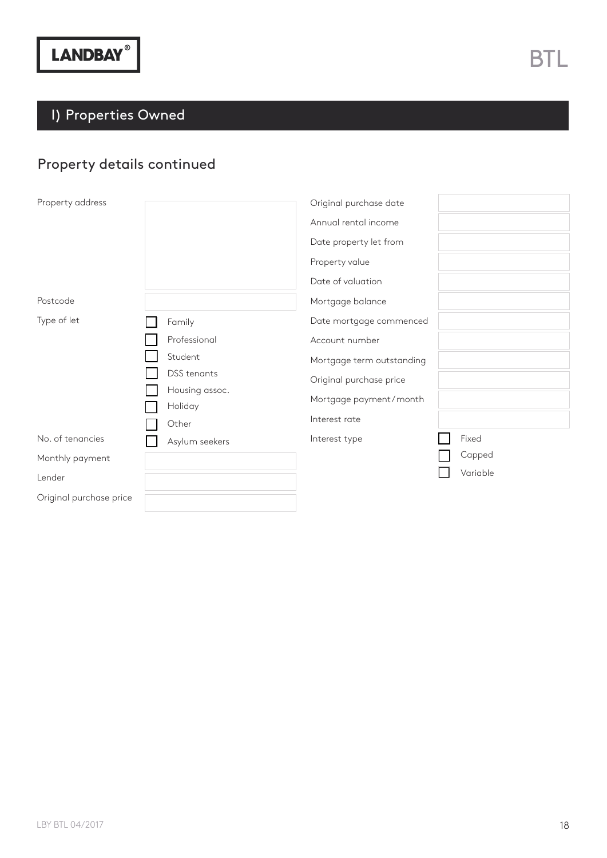### Property details continued

| Property address        |                           | Original purchase date    |          |
|-------------------------|---------------------------|---------------------------|----------|
|                         |                           | Annual rental income      |          |
|                         |                           | Date property let from    |          |
|                         |                           | Property value            |          |
|                         |                           | Date of valuation         |          |
| Postcode                |                           | Mortgage balance          |          |
| Type of let             | Family                    | Date mortgage commenced   |          |
|                         | Professional              | Account number            |          |
|                         | Student                   | Mortgage term outstanding |          |
|                         | DSS tenants               | Original purchase price   |          |
|                         | Housing assoc.<br>Holiday | Mortgage payment/month    |          |
|                         | Other                     | Interest rate             |          |
| No. of tenancies        | Asylum seekers            | Interest type             | Fixed    |
| Monthly payment         |                           |                           | Capped   |
| Lender                  |                           |                           | Variable |
| Original purchase price |                           |                           |          |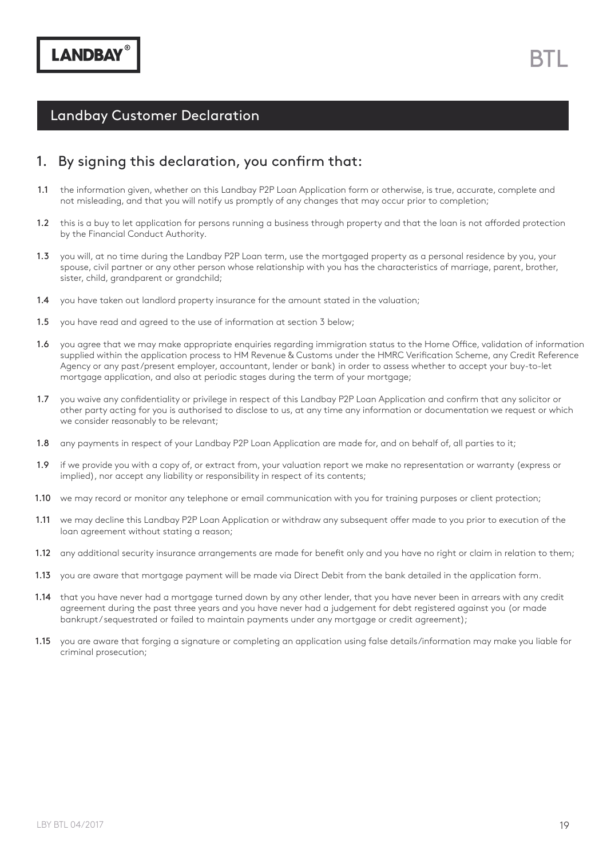#### 1. By signing this declaration, you confrm that:

- the information given, whether on this Landbay P2P Loan Application form or otherwise, is true, accurate, complete and not misleading, and that you will notify us promptly of any changes that may occur prior to completion; 1.1
- this is a buy to let application for persons running a business through property and that the loan is not afforded protection by the Financial Conduct Authority. 1.2
- 1.3 you will, at no time during the Landbay P2P Loan term, use the mortgaged property as a personal residence by you, your spouse, civil partner or any other person whose relationship with you has the characteristics of marriage, parent, brother, sister, child, grandparent or grandchild;
- you have taken out landlord property insurance for the amount stated in the valuation; 1.4
- you have read and agreed to the use of information at section 3 below; 1.5
- you agree that we may make appropriate enquiries regarding immigration status to the Home Office, validation of information supplied within the application process to HM Revenue & Customs under the HMRC Verifcation Scheme, any Credit Reference Agency or any past/present employer, accountant, lender or bank) in order to assess whether to accept your buy-to-let mortgage application, and also at periodic stages during the term of your mortgage; 1.6
- 1.7 you waive any confidentiality or privilege in respect of this Landbay P2P Loan Application and confirm that any solicitor or other party acting for you is authorised to disclose to us, at any time any information or documentation we request or which we consider reasonably to be relevant;
- any payments in respect of your Landbay P2P Loan Application are made for, and on behalf of, all parties to it; 1.8
- if we provide you with a copy of, or extract from, your valuation report we make no representation or warranty (express or implied), nor accept any liability or responsibility in respect of its contents; 1.9
- 1.10 we may record or monitor any telephone or email communication with you for training purposes or client protection;
- 1.11 we may decline this Landbay P2P Loan Application or withdraw any subsequent offer made to you prior to execution of the loan agreement without stating a reason;
- **1.12** any additional security insurance arrangements are made for benefit only and you have no right or claim in relation to them;
- 1.13 you are aware that mortgage payment will be made via Direct Debit from the bank detailed in the application form.
- **1.14** that you have never had a mortgage turned down by any other lender, that you have never been in arrears with any credit agreement during the past three years and you have never had a judgement for debt registered against you (or made bankrupt/ sequestrated or failed to maintain payments under any mortgage or credit agreement);
- you are aware that forging a signature or completing an application using false details/information may make you liable for criminal prosecution; 1.15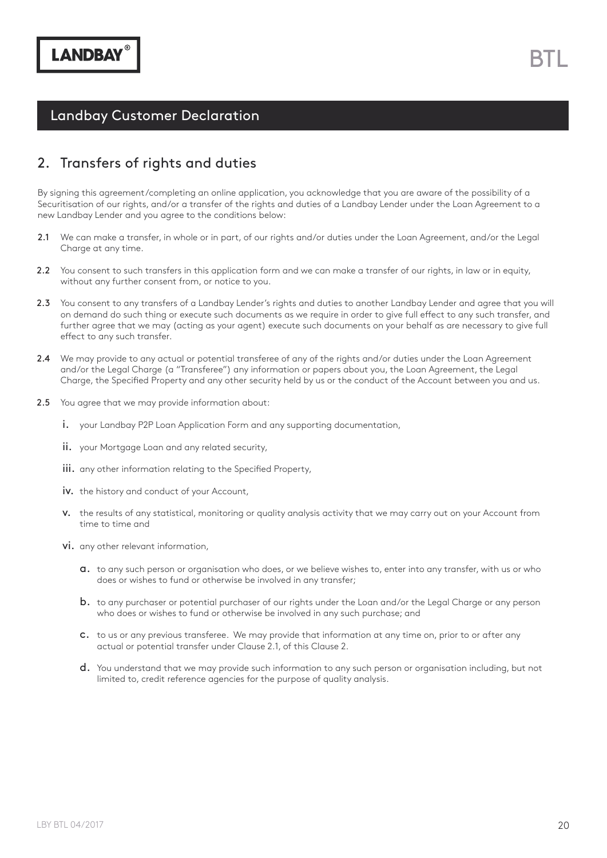#### 2. Transfers of rights and duties

By signing this agreement/completing an online application, you acknowledge that you are aware of the possibility of a Securitisation of our rights, and/or a transfer of the rights and duties of a Landbay Lender under the Loan Agreement to a new Landbay Lender and you agree to the conditions below:

- We can make a transfer, in whole or in part, of our rights and/or duties under the Loan Agreement, and/or the Legal Charge at any time. 2.1
- You consent to such transfers in this application form and we can make a transfer of our rights, in law or in equity, without any further consent from, or notice to you. 2.2
- 2.3 You consent to any transfers of a Landbay Lender's rights and duties to another Landbay Lender and agree that you will on demand do such thing or execute such documents as we require in order to give full efect to any such transfer, and further agree that we may (acting as your agent) execute such documents on your behalf as are necessary to give full efect to any such transfer.
- 2.4 We may provide to any actual or potential transferee of any of the rights and/or duties under the Loan Agreement and/or the Legal Charge (a "Transferee") any information or papers about you, the Loan Agreement, the Legal Charge, the Specifed Property and any other security held by us or the conduct of the Account between you and us.
- 2.5 You agree that we may provide information about:
	- i. your Landbay P2P Loan Application Form and any supporting documentation,
	- ii. your Mortgage Loan and any related security,
	- iii. any other information relating to the Specified Property,
	- iv. the history and conduct of your Account,
	- v. the results of any statistical, monitoring or quality analysis activity that we may carry out on your Account from time to time and
	- vi. any other relevant information,
		- a. to any such person or organisation who does, or we believe wishes to, enter into any transfer, with us or who does or wishes to fund or otherwise be involved in any transfer;
		- b. to any purchaser or potential purchaser of our rights under the Loan and/or the Legal Charge or any person who does or wishes to fund or otherwise be involved in any such purchase; and
		- c. to us or any previous transferee. We may provide that information at any time on, prior to or after any actual or potential transfer under Clause 2.1, of this Clause 2.
		- d. You understand that we may provide such information to any such person or organisation including, but not limited to, credit reference agencies for the purpose of quality analysis.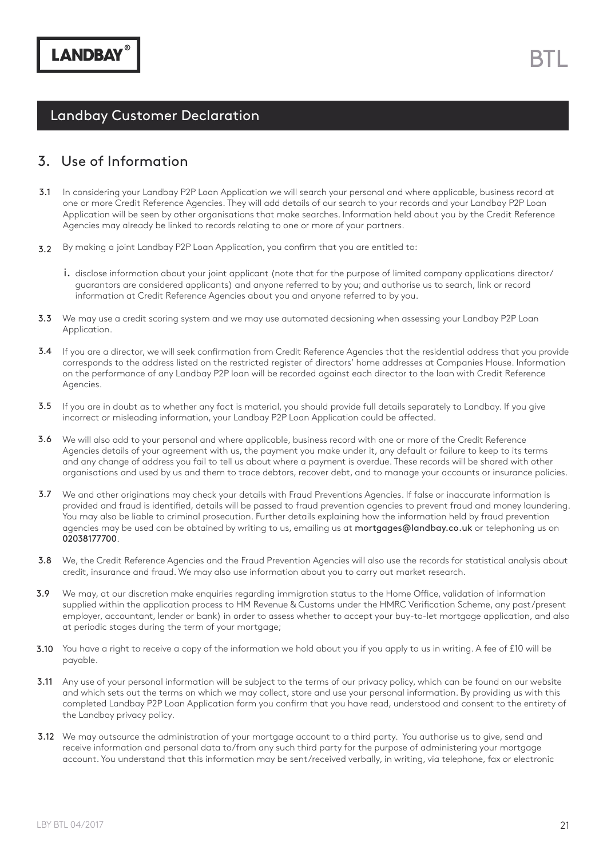#### 3. Use of Information

- In considering your Landbay P2P Loan Application we will search your personal and where applicable, business record at one or more Credit Reference Agencies. They will add details of our search to your records and your Landbay P2P Loan Application will be seen by other organisations that make searches. Information held about you by the Credit Reference Agencies may already be linked to records relating to one or more of your partners. 3.1
- By making a joint Landbay P2P Loan Application, you confrm that you are entitled to: 3.2
	- i. disclose information about your joint applicant (note that for the purpose of limited company applications director/ guarantors are considered applicants) and anyone referred to by you; and authorise us to search, link or record information at Credit Reference Agencies about you and anyone referred to by you.
- **3.3** We may use a credit scoring system and we may use automated decsioning when assessing your Landbay P2P Loan Application.
- 3.4 If you are a director, we will seek confirmation from Credit Reference Agencies that the residential address that you provide corresponds to the address listed on the restricted register of directors' home addresses at Companies House. Information on the performance of any Landbay P2P loan will be recorded against each director to the loan with Credit Reference Agencies.
- **3.5** If you are in doubt as to whether any fact is material, you should provide full details separately to Landbay. If you give incorrect or misleading information, your Landbay P2P Loan Application could be afected.
- 3.6 We will also add to your personal and where applicable, business record with one or more of the Credit Reference Agencies details of your agreement with us, the payment you make under it, any default or failure to keep to its terms and any change of address you fail to tell us about where a payment is overdue. These records will be shared with other organisations and used by us and them to trace debtors, recover debt, and to manage your accounts or insurance policies.
- 3.7 We and other originations may check your details with Fraud Preventions Agencies. If false or inaccurate information is provided and fraud is identifed, details will be passed to fraud prevention agencies to prevent fraud and money laundering. You may also be liable to criminal prosecution. Further details explaining how the information held by fraud prevention agencies may be used can be obtained by writing to us, emailing us at mortgages@landbay.co.uk or telephoning us on 02038177700.
- 3.8 We, the Credit Reference Agencies and the Fraud Prevention Agencies will also use the records for statistical analysis about credit, insurance and fraud. We may also use information about you to carry out market research.
- We may, at our discretion make enquiries regarding immigration status to the Home Office, validation of information supplied within the application process to HM Revenue & Customs under the HMRC Verifcation Scheme, any past/present employer, accountant, lender or bank) in order to assess whether to accept your buy-to-let mortgage application, and also at periodic stages during the term of your mortgage; 3.9
- 3.10 You have a right to receive a copy of the information we hold about you if you apply to us in writing. A fee of £10 will be payable.
- **3.11** Any use of your personal information will be subject to the terms of our privacy policy, which can be found on our website and which sets out the terms on which we may collect, store and use your personal information. By providing us with this completed Landbay P2P Loan Application form you confrm that you have read, understood and consent to the entirety of the Landbay privacy policy.
- **3.12** We may outsource the administration of your mortgage account to a third party. You authorise us to give, send and receive information and personal data to/from any such third party for the purpose of administering your mortgage account. You understand that this information may be sent/received verbally, in writing, via telephone, fax or electronic